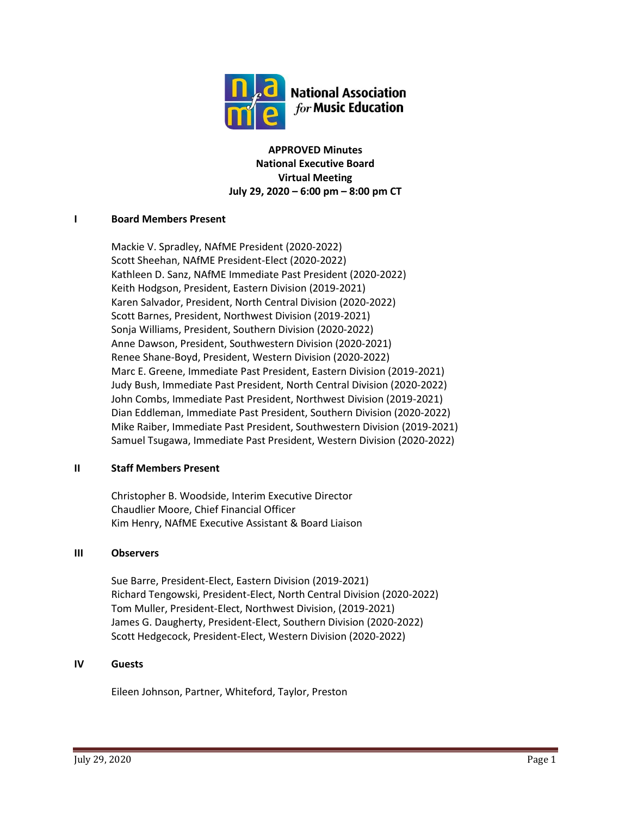

**APPROVED Minutes National Executive Board Virtual Meeting July 29, 2020 – 6:00 pm – 8:00 pm CT**

# **I Board Members Present**

Mackie V. Spradley, NAfME President (2020-2022) Scott Sheehan, NAfME President-Elect (2020-2022) Kathleen D. Sanz, NAfME Immediate Past President (2020-2022) Keith Hodgson, President, Eastern Division (2019-2021) Karen Salvador, President, North Central Division (2020-2022) Scott Barnes, President, Northwest Division (2019-2021) Sonja Williams, President, Southern Division (2020-2022) Anne Dawson, President, Southwestern Division (2020-2021) Renee Shane-Boyd, President, Western Division (2020-2022) Marc E. Greene, Immediate Past President, Eastern Division (2019-2021) Judy Bush, Immediate Past President, North Central Division (2020-2022) John Combs, Immediate Past President, Northwest Division (2019-2021) Dian Eddleman, Immediate Past President, Southern Division (2020-2022) Mike Raiber, Immediate Past President, Southwestern Division (2019-2021) Samuel Tsugawa, Immediate Past President, Western Division (2020-2022)

# **II Staff Members Present**

Christopher B. Woodside, Interim Executive Director Chaudlier Moore, Chief Financial Officer Kim Henry, NAfME Executive Assistant & Board Liaison

# **III Observers**

Sue Barre, President-Elect, Eastern Division (2019-2021) Richard Tengowski, President-Elect, North Central Division (2020-2022) Tom Muller, President-Elect, Northwest Division, (2019-2021) James G. Daugherty, President-Elect, Southern Division (2020-2022) Scott Hedgecock, President-Elect, Western Division (2020-2022)

# **IV Guests**

Eileen Johnson, Partner, Whiteford, Taylor, Preston